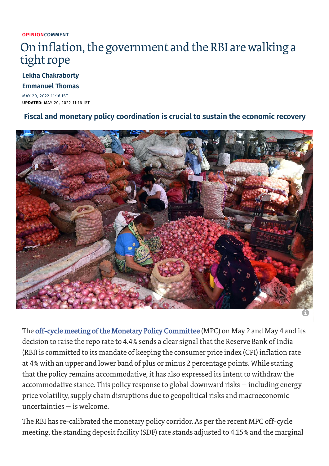#### **OPINION[COMMENT](https://www.thehindu.com/opinion/op-ed/)**

## On inflation, the government and the RBI are walking a tight rope

#### **Lekha [Chakraborty](https://www.thehindu.com/profile/author/Lekha-Chakraborty-8479/)**

#### **[Emmanuel](https://www.thehindu.com/profile/author/Emmanuel-Thomas-8060/) Thomas**

MAY 20, 2022 11:16 IST **UPDATED:** MAY 20, 2022 11:16 IST

#### **Fiscal and monetary policy coordination is crucial to sustain the economic recovery**



The off-cycle meeting of the Monetary Policy [Committee](https://www.thehindu.com/business/frontloading-of-rate-increases-needed-to-anchor-inflation-mpc/article65426992.ece) (MPC) on May 2 and May 4 and its decision to raise the repo rate to 4.4% sends a clear signal that the Reserve Bank of India (RBI) is committed to its mandate of keeping the consumer price index (CPI) inflation rate at 4% with an upper and lower band of plus or minus 2 percentage points. While stating that the policy remains accommodative, it has also expressed its intent to withdraw the accommodative stance. This policy response to global downward risks — including energy price volatility, supply chain disruptions due to geopolitical risks and macroeconomic uncertainties — is welcome.

The RBI has re-calibrated the monetary policy corridor. As perthe recent MPC off-cycle meeting, the standing deposit facility (SDF) rate stands adjusted to 4.15% and the marginal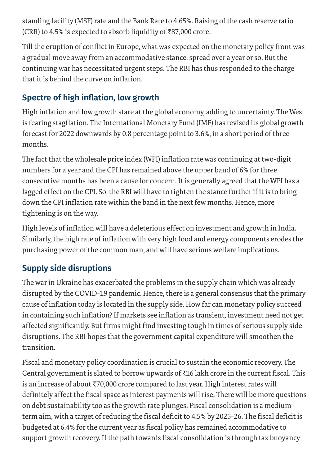standing facility (MSF) rate and the Bank Rate to 4.65%. Raising of the cash reserve ratio (CRR) to 4.5% is expected to absorb liquidity of ₹87,000 crore.

Till the eruption of conflict in Europe, what was expected on the monetary policy front was a gradual move away from an accommodative stance, spread over a year or so. But the continuing war has necessitated urgent steps. The RBI has thus responded to the charge that it is behind the curve on inflation.

### **Spectre of high inflation, low growth**

High inflation and low growth stare at the global economy, adding to uncertainty. The West is fearing stagflation. The International Monetary Fund (IMF) has revised its global growth forecast for 2022 downwards by 0.8 percentage point to 3.6%, in a short period of three months.

The fact that the wholesale price index (WPI) inflation rate was continuing at two-digit numbers for a year and the CPI has remained above the upper band of 6% for three consecutive months has been a cause for concern. It is generally agreed that the WPI has a lagged effect on the CPI. So, the RBI will have to tighten the stance further if it is to bring down the CPI inflation rate within the band in the next few months. Hence, more tightening is on the way.

High levels of inflation will have a deleterious effect on investment and growth in India. Similarly, the high rate of inflation with very high food and energy components erodes the purchasing power of the common man, and will have serious welfare implications.

### **Supply side disruptions**

The war in Ukraine has exacerbated the problems in the supply chain which was already disrupted by the COVID-19 pandemic. Hence, there is a general consensus that the primary cause of inflation today is located in the supply side. How far can monetary policy succeed in containing such inflation? If markets see inflation as transient, investment need not get affected significantly. But firms might find investing tough in times of serious supply side disruptions. The RBI hopes that the government capital expenditure will smoothen the transition.

Fiscal and monetary policy coordination is crucial to sustain the economic recovery. The Central government is slated to borrow upwards of ₹16 lakh crore in the current fiscal. This is an increase of about ₹70,000 crore compared to last year. High interestrates will definitely affect the fiscal space as interest payments will rise. There will be more questions on debt sustainability too as the growth rate plunges. Fiscal consolidation is a mediumterm aim, with a target of reducing the fiscal deficit to 4.5% by 2025-26. The fiscal deficit is budgeted at 6.4% for the current year as fiscal policy has remained accommodative to support growth recovery. If the path towards fiscal consolidation is through tax buoyancy